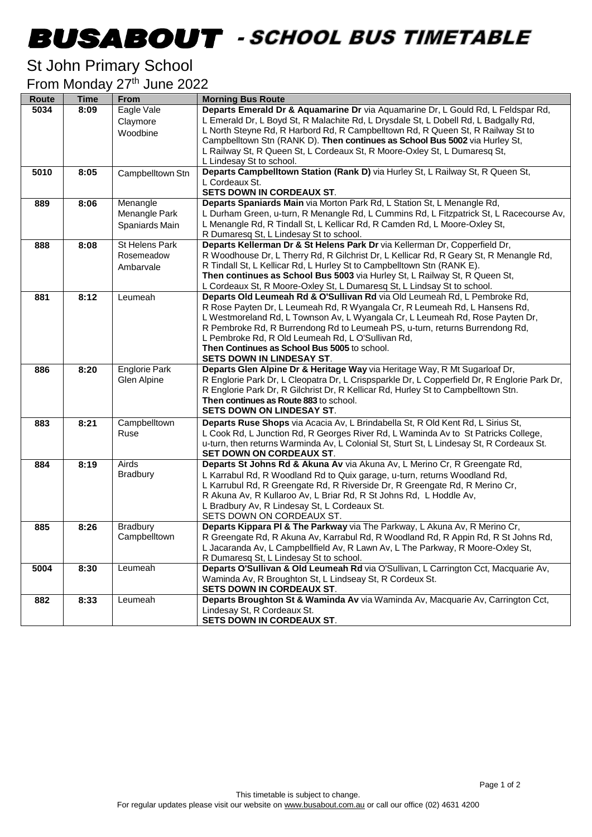## -

## St John Primary School

From Monday 27<sup>th</sup> June 2022

| Route | <b>Time</b> | <b>From</b>          | <b>Morning Bus Route</b>                                                                                                                             |
|-------|-------------|----------------------|------------------------------------------------------------------------------------------------------------------------------------------------------|
| 5034  | 8:09        | Eagle Vale           | Departs Emerald Dr & Aquamarine Dr via Aquamarine Dr, L Gould Rd, L Feldspar Rd,                                                                     |
|       |             | Claymore             | L Emerald Dr, L Boyd St, R Malachite Rd, L Drysdale St, L Dobell Rd, L Badgally Rd,                                                                  |
|       |             | Woodbine             | L North Steyne Rd, R Harbord Rd, R Campbelltown Rd, R Queen St, R Railway St to                                                                      |
|       |             |                      | Campbelltown Stn (RANK D). Then continues as School Bus 5002 via Hurley St,                                                                          |
|       |             |                      | L Railway St, R Queen St, L Cordeaux St, R Moore-Oxley St, L Dumaresq St,                                                                            |
| 5010  | 8:05        |                      | L Lindesay St to school.<br>Departs Campbelltown Station (Rank D) via Hurley St, L Railway St, R Queen St,                                           |
|       |             | Campbelltown Stn     | L Cordeaux St.                                                                                                                                       |
|       |             |                      | SETS DOWN IN CORDEAUX ST.                                                                                                                            |
| 889   | 8:06        | Menangle             | Departs Spaniards Main via Morton Park Rd, L Station St, L Menangle Rd,                                                                              |
|       |             | Menangle Park        | L Durham Green, u-turn, R Menangle Rd, L Cummins Rd, L Fitzpatrick St, L Racecourse Av,                                                              |
|       |             | Spaniards Main       | L Menangle Rd, R Tindall St, L Kellicar Rd, R Camden Rd, L Moore-Oxley St,                                                                           |
|       |             |                      | R Dumaresq St, L Lindesay St to school.                                                                                                              |
| 888   | 8:08        | St Helens Park       | Departs Kellerman Dr & St Helens Park Dr via Kellerman Dr, Copperfield Dr,                                                                           |
|       |             | Rosemeadow           | R Woodhouse Dr, L Therry Rd, R Gilchrist Dr, L Kellicar Rd, R Geary St, R Menangle Rd,                                                               |
|       |             | Ambarvale            | R Tindall St, L Kellicar Rd, L Hurley St to Campbelltown Stn (RANK E).                                                                               |
|       |             |                      | Then continues as School Bus 5003 via Hurley St, L Railway St, R Queen St,                                                                           |
| 881   | 8:12        | Leumeah              | L Cordeaux St, R Moore-Oxley St, L Dumaresq St, L Lindsay St to school.<br>Departs Old Leumeah Rd & O'Sullivan Rd via Old Leumeah Rd, L Pembroke Rd, |
|       |             |                      | R Rose Payten Dr, L Leumeah Rd, R Wyangala Cr, R Leumeah Rd, L Hansens Rd,                                                                           |
|       |             |                      | L Westmoreland Rd, L Townson Av, L Wyangala Cr, L Leumeah Rd, Rose Payten Dr,                                                                        |
|       |             |                      | R Pembroke Rd, R Burrendong Rd to Leumeah PS, u-turn, returns Burrendong Rd,                                                                         |
|       |             |                      | L Pembroke Rd, R Old Leumeah Rd, L O'Sullivan Rd,                                                                                                    |
|       |             |                      | Then Continues as School Bus 5005 to school.                                                                                                         |
|       |             |                      | <b>SETS DOWN IN LINDESAY ST.</b>                                                                                                                     |
| 886   | 8:20        | <b>Englorie Park</b> | Departs Glen Alpine Dr & Heritage Way via Heritage Way, R Mt Sugarloaf Dr,                                                                           |
|       |             | Glen Alpine          | R Englorie Park Dr, L Cleopatra Dr, L Crispsparkle Dr, L Copperfield Dr, R Englorie Park Dr,                                                         |
|       |             |                      | R Englorie Park Dr, R Gilchrist Dr, R Kellicar Rd, Hurley St to Campbelltown Stn.                                                                    |
|       |             |                      | Then continues as Route 883 to school.<br>SETS DOWN ON LINDESAY ST.                                                                                  |
| 883   | 8:21        | Campbelltown         | Departs Ruse Shops via Acacia Av, L Brindabella St, R Old Kent Rd, L Sirius St,                                                                      |
|       |             | Ruse                 | L Cook Rd, L Junction Rd, R Georges River Rd, L Waminda Av to St Patricks College,                                                                   |
|       |             |                      | u-turn, then returns Warminda Av, L Colonial St, Sturt St, L Lindesay St, R Cordeaux St.                                                             |
|       |             |                      | <b>SET DOWN ON CORDEAUX ST.</b>                                                                                                                      |
| 884   | 8:19        | Airds                | Departs St Johns Rd & Akuna Av via Akuna Av, L Merino Cr, R Greengate Rd,                                                                            |
|       |             | <b>Bradbury</b>      | L Karrabul Rd, R Woodland Rd to Quix garage, u-turn, returns Woodland Rd,                                                                            |
|       |             |                      | L Karrubul Rd, R Greengate Rd, R Riverside Dr, R Greengate Rd, R Merino Cr,                                                                          |
|       |             |                      | R Akuna Av, R Kullaroo Av, L Briar Rd, R St Johns Rd, L Hoddle Av,                                                                                   |
|       |             |                      | L Bradbury Av, R Lindesay St, L Cordeaux St.                                                                                                         |
| 885   | 8:26        | Bradbury             | SETS DOWN ON CORDEAUX ST.<br>Departs Kippara PI & The Parkway via The Parkway, L Akuna Av, R Merino Cr,                                              |
|       |             | Campbelltown         | R Greengate Rd, R Akuna Av, Karrabul Rd, R Woodland Rd, R Appin Rd, R St Johns Rd,                                                                   |
|       |             |                      | L Jacaranda Av, L Campbellfield Av, R Lawn Av, L The Parkway, R Moore-Oxley St,                                                                      |
|       |             |                      | R Dumaresq St, L Lindesay St to school.                                                                                                              |
| 5004  | 8:30        | Leumeah              | Departs O'Sullivan & Old Leumeah Rd via O'Sullivan, L Carrington Cct, Macquarie Av,                                                                  |
|       |             |                      | Waminda Av, R Broughton St, L Lindseay St, R Cordeux St.                                                                                             |
|       |             |                      | SETS DOWN IN CORDEAUX ST.                                                                                                                            |
| 882   | 8:33        | Leumeah              | Departs Broughton St & Waminda Av via Waminda Av, Macquarie Av, Carrington Cct,                                                                      |
|       |             |                      | Lindesay St, R Cordeaux St.                                                                                                                          |
|       |             |                      | SETS DOWN IN CORDEAUX ST.                                                                                                                            |